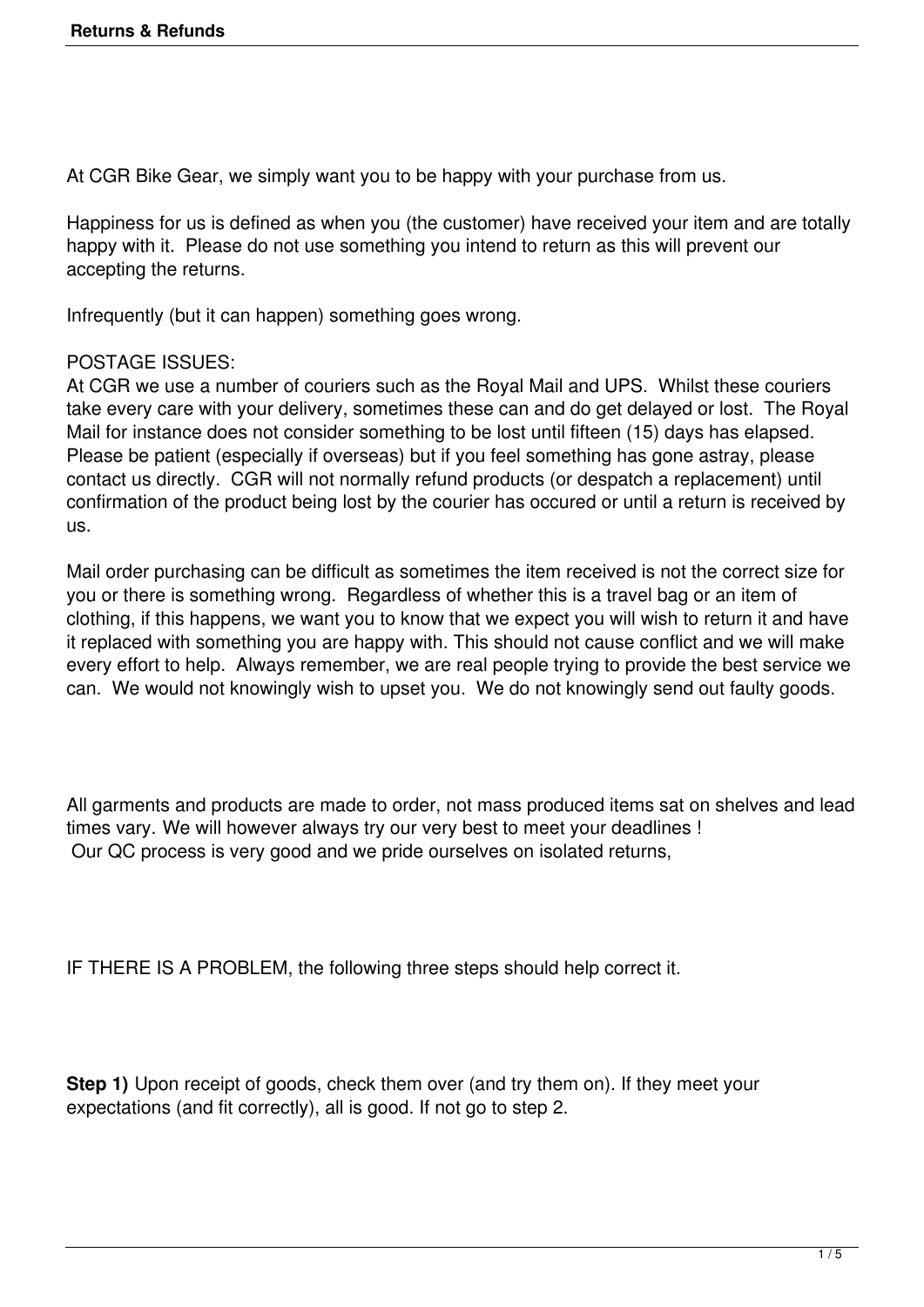At CGR Bike Gear, we simply want you to be happy with your purchase from us.

Happiness for us is defined as when you (the customer) have received your item and are totally happy with it. Please do not use something you intend to return as this will prevent our accepting the returns.

Infrequently (but it can happen) something goes wrong.

## POSTAGE ISSUES:

At CGR we use a number of couriers such as the Royal Mail and UPS. Whilst these couriers take every care with your delivery, sometimes these can and do get delayed or lost. The Royal Mail for instance does not consider something to be lost until fifteen (15) days has elapsed. Please be patient (especially if overseas) but if you feel something has gone astray, please contact us directly. CGR will not normally refund products (or despatch a replacement) until confirmation of the product being lost by the courier has occured or until a return is received by us.

Mail order purchasing can be difficult as sometimes the item received is not the correct size for you or there is something wrong. Regardless of whether this is a travel bag or an item of clothing, if this happens, we want you to know that we expect you will wish to return it and have it replaced with something you are happy with. This should not cause conflict and we will make every effort to help. Always remember, we are real people trying to provide the best service we can. We would not knowingly wish to upset you. We do not knowingly send out faulty goods.

All garments and products are made to order, not mass produced items sat on shelves and lead times vary. We will however always try our very best to meet your deadlines ! Our QC process is very good and we pride ourselves on isolated returns,

IF THERE IS A PROBLEM, the following three steps should help correct it.

**Step 1)** Upon receipt of goods, check them over (and try them on). If they meet your expectations (and fit correctly), all is good. If not go to step 2.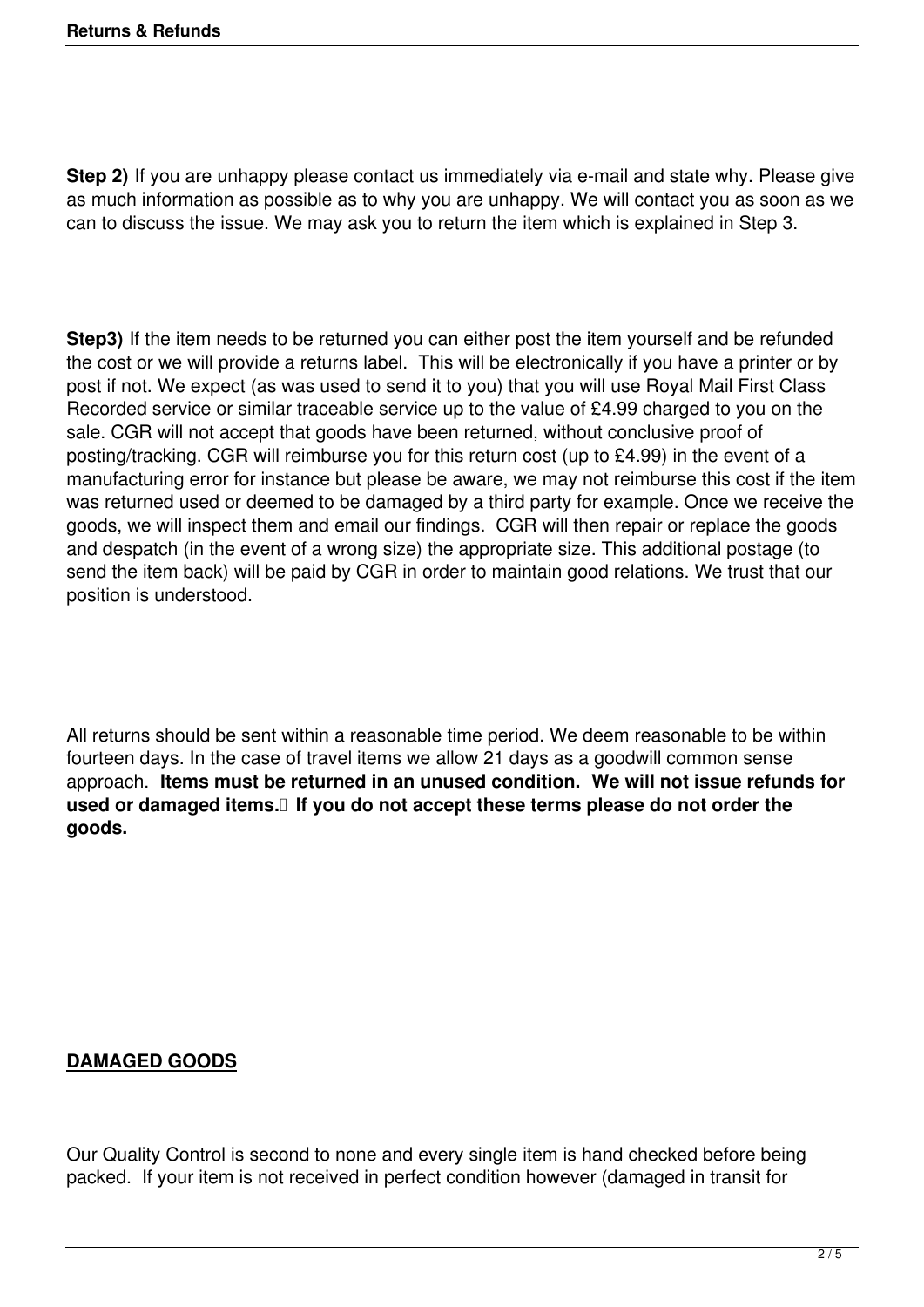**Step 2)** If you are unhappy please contact us immediately via e-mail and state why. Please give as much information as possible as to why you are unhappy. We will contact you as soon as we can to discuss the issue. We may ask you to return the item which is explained in Step 3.

**Step3)** If the item needs to be returned you can either post the item yourself and be refunded the cost or we will provide a returns label. This will be electronically if you have a printer or by post if not. We expect (as was used to send it to you) that you will use Royal Mail First Class Recorded service or similar traceable service up to the value of £4.99 charged to you on the sale. CGR will not accept that goods have been returned, without conclusive proof of posting/tracking. CGR will reimburse you for this return cost (up to £4.99) in the event of a manufacturing error for instance but please be aware, we may not reimburse this cost if the item was returned used or deemed to be damaged by a third party for example. Once we receive the goods, we will inspect them and email our findings. CGR will then repair or replace the goods and despatch (in the event of a wrong size) the appropriate size. This additional postage (to send the item back) will be paid by CGR in order to maintain good relations. We trust that our position is understood.

All returns should be sent within a reasonable time period. We deem reasonable to be within fourteen days. In the case of travel items we allow 21 days as a goodwill common sense approach. **Items must be returned in an unused condition. We will not issue refunds for** used or damaged items.<sup>[]</sup> If you do not accept these terms please do not order the **goods.**

## **DAMAGED GOODS**

Our Quality Control is second to none and every single item is hand checked before being packed. If your item is not received in perfect condition however (damaged in transit for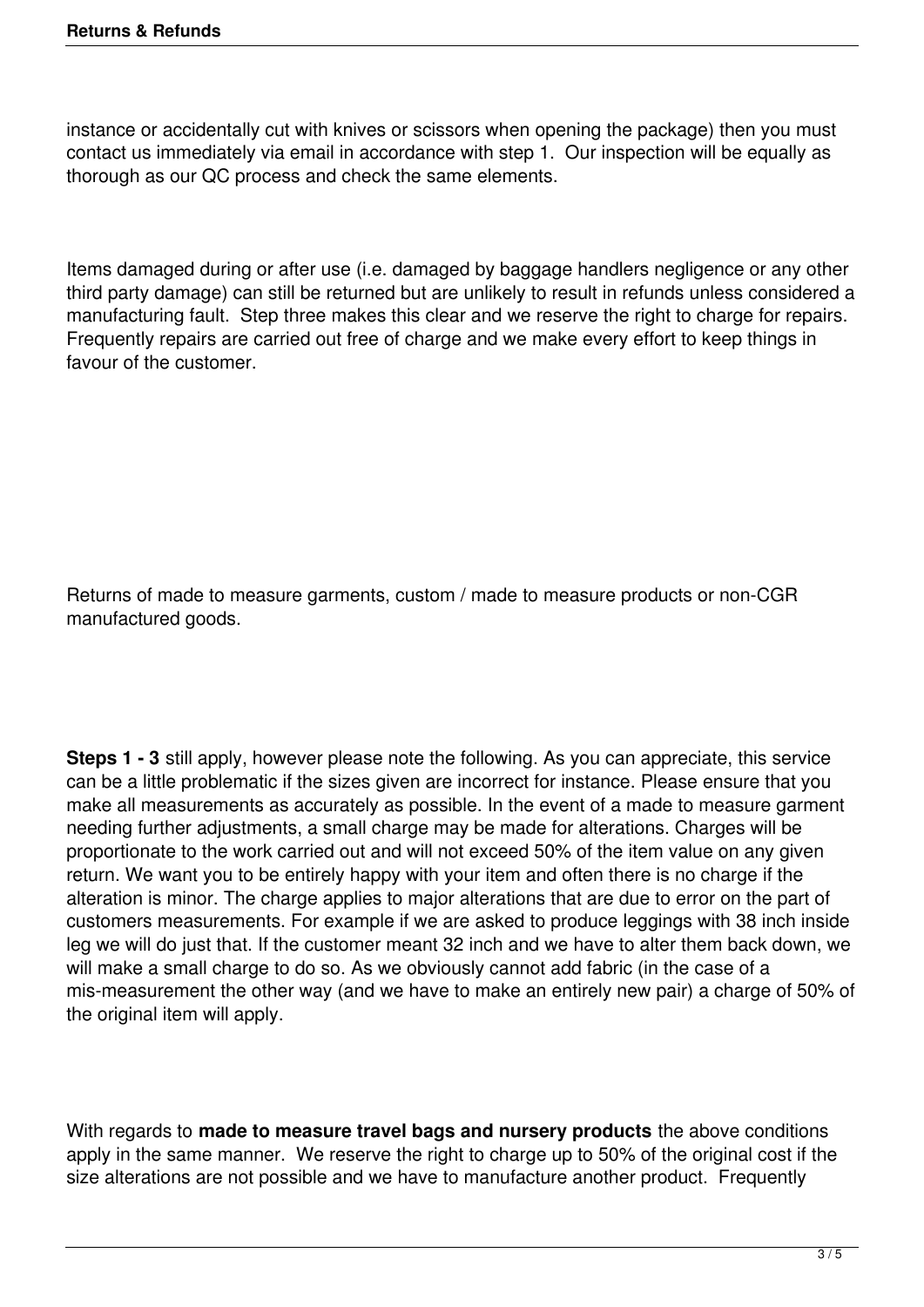instance or accidentally cut with knives or scissors when opening the package) then you must contact us immediately via email in accordance with step 1. Our inspection will be equally as thorough as our QC process and check the same elements.

Items damaged during or after use (i.e. damaged by baggage handlers negligence or any other third party damage) can still be returned but are unlikely to result in refunds unless considered a manufacturing fault. Step three makes this clear and we reserve the right to charge for repairs. Frequently repairs are carried out free of charge and we make every effort to keep things in favour of the customer.

Returns of made to measure garments, custom / made to measure products or non-CGR manufactured goods.

**Steps 1 - 3** still apply, however please note the following. As you can appreciate, this service can be a little problematic if the sizes given are incorrect for instance. Please ensure that you make all measurements as accurately as possible. In the event of a made to measure garment needing further adjustments, a small charge may be made for alterations. Charges will be proportionate to the work carried out and will not exceed 50% of the item value on any given return. We want you to be entirely happy with your item and often there is no charge if the alteration is minor. The charge applies to major alterations that are due to error on the part of customers measurements. For example if we are asked to produce leggings with 38 inch inside leg we will do just that. If the customer meant 32 inch and we have to alter them back down, we will make a small charge to do so. As we obviously cannot add fabric (in the case of a mis-measurement the other way (and we have to make an entirely new pair) a charge of 50% of the original item will apply.

With regards to **made to measure travel bags and nursery products** the above conditions apply in the same manner. We reserve the right to charge up to 50% of the original cost if the size alterations are not possible and we have to manufacture another product. Frequently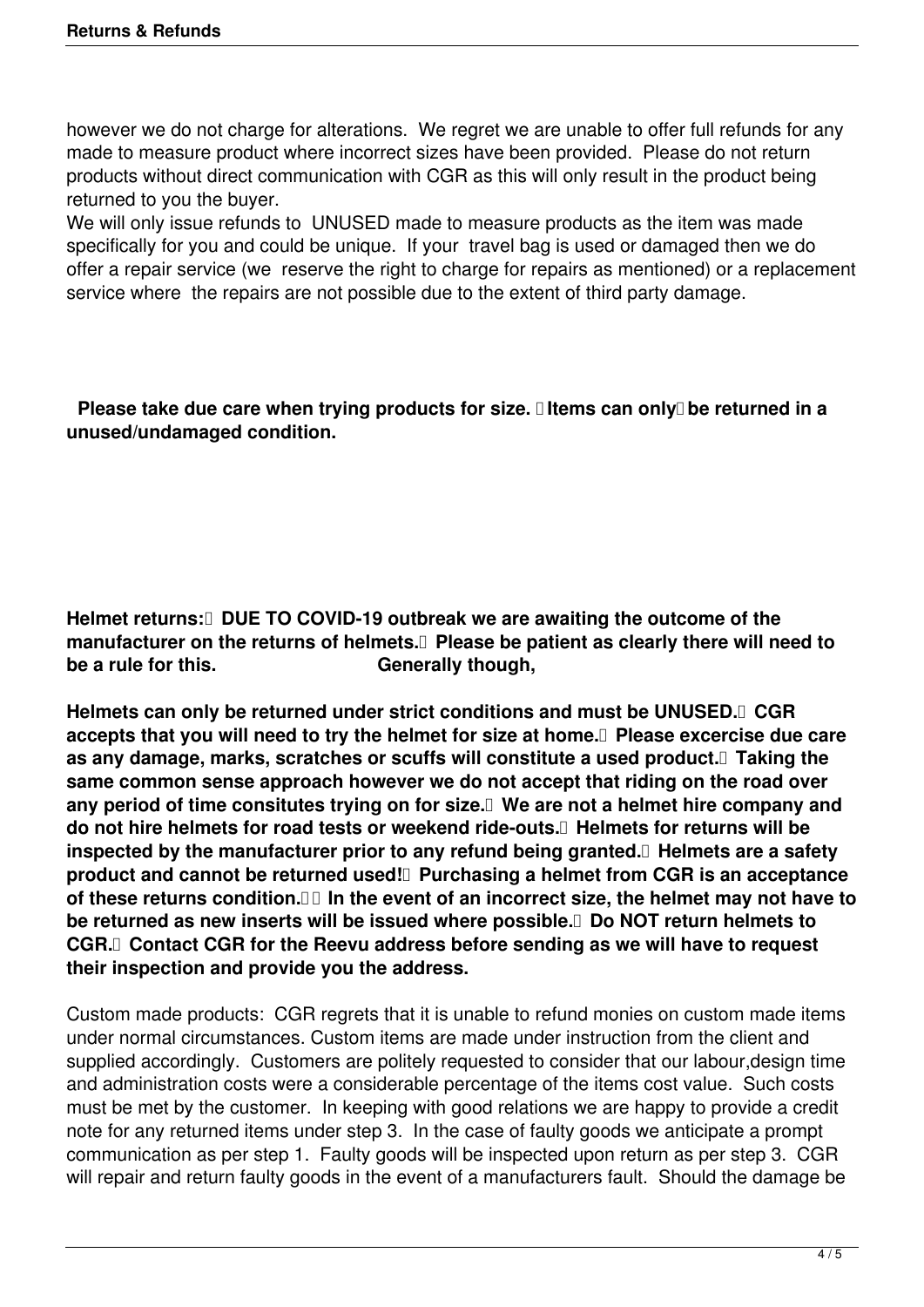however we do not charge for alterations. We regret we are unable to offer full refunds for any made to measure product where incorrect sizes have been provided. Please do not return products without direct communication with CGR as this will only result in the product being returned to you the buyer.

We will only issue refunds to UNUSED made to measure products as the item was made specifically for you and could be unique. If your travel bag is used or damaged then we do offer a repair service (we reserve the right to charge for repairs as mentioned) or a replacement service where the repairs are not possible due to the extent of third party damage.

**Please take due care when trying products for size. I Items can only be returned in a unused/undamaged condition.** 

**Helmet returns: DUE TO COVID-19 outbreak we are awaiting the outcome of the manufacturer on the returns of helmets. Please be patient as clearly there will need to be a rule for this. Generally though,**

**Helmets can only be returned under strict conditions and must be UNUSED. CGR accepts that you will need to try the helmet for size at home. Please excercise due care as any damage, marks, scratches or scuffs will constitute a used product. Taking the same common sense approach however we do not accept that riding on the road over any period of time consitutes trying on for size. We are not a helmet hire company and do not hire helmets for road tests or weekend ride-outs. Helmets for returns will be inspected by the manufacturer prior to any refund being granted. Helmets are a safety product and cannot be returned used!** Purchasing a helmet from CGR is an acceptance **of these returns condition. In the event of an incorrect size, the helmet may not have to be returned as new inserts will be issued where possible. Do NOT return helmets to CGR. Contact CGR for the Reevu address before sending as we will have to request their inspection and provide you the address.**

Custom made products: CGR regrets that it is unable to refund monies on custom made items under normal circumstances. Custom items are made under instruction from the client and supplied accordingly. Customers are politely requested to consider that our labour,design time and administration costs were a considerable percentage of the items cost value. Such costs must be met by the customer. In keeping with good relations we are happy to provide a credit note for any returned items under step 3. In the case of faulty goods we anticipate a prompt communication as per step 1. Faulty goods will be inspected upon return as per step 3. CGR will repair and return faulty goods in the event of a manufacturers fault. Should the damage be